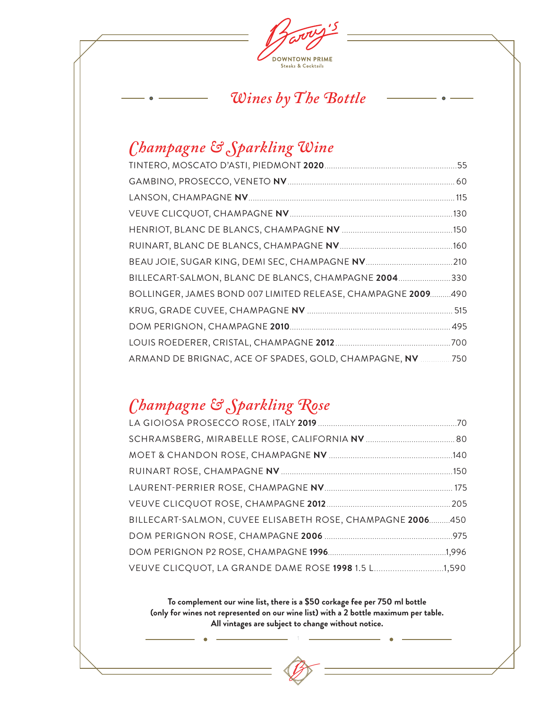

### *Wines by The Bottle*

### *Champagne & Sparkling Wine*

| BILLECART-SALMON, BLANC DE BLANCS, CHAMPAGNE 2004 330        |  |
|--------------------------------------------------------------|--|
| BOLLINGER, JAMES BOND 007 LIMITED RELEASE, CHAMPAGNE 2009490 |  |
|                                                              |  |
|                                                              |  |
|                                                              |  |
| ARMAND DE BRIGNAC, ACE OF SPADES, GOLD, CHAMPAGNE, NV 750    |  |

### *Champagne & Sparkling Rose*

| BILLECART-SALMON, CUVEE ELISABETH ROSE, CHAMPAGNE 2006450 |  |
|-----------------------------------------------------------|--|
|                                                           |  |
|                                                           |  |
| VEUVE CLICQUOT, LA GRANDE DAME ROSE 1998 1.5 L1,590       |  |

**To complement our wine list, there is a \$50 corkage fee per 750 ml bottle (only for wines not represented on our wine list) with a 2 bottle maximum per table. All vintages are subject to change without notice.**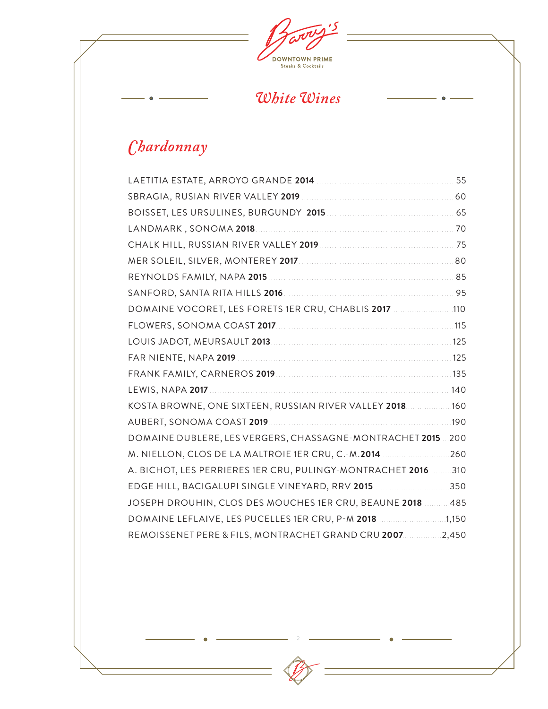

### *White Wines*

 $\bullet$ 

## *Chardonnay*

 $\bullet$ 

| DOMAINE VOCORET, LES FORETS 1ER CRU, CHABLIS 2017 110         |  |
|---------------------------------------------------------------|--|
| FLOWERS, SONOMA COAST 2017 <b>And Account 2017</b> 115        |  |
|                                                               |  |
|                                                               |  |
|                                                               |  |
|                                                               |  |
| KOSTA BROWNE, ONE SIXTEEN, RUSSIAN RIVER VALLEY 2018160       |  |
|                                                               |  |
| DOMAINE DUBLERE, LES VERGERS, CHASSAGNE-MONTRACHET 2015 200   |  |
| M. NIELLON, CLOS DE LA MALTROIE 1ER CRU, C.-M.2014 260        |  |
| A. BICHOT, LES PERRIERES 1ER CRU, PULINGY-MONTRACHET 2016 310 |  |
| EDGE HILL, BACIGALUPI SINGLE VINEYARD, RRV 2015 350           |  |
| JOSEPH DROUHIN, CLOS DES MOUCHES 1ER CRU, BEAUNE 2018  485    |  |
| DOMAINE LEFLAIVE, LES PUCELLES 1ER CRU, P-M 2018 1,150        |  |
| REMOISSENET PERE & FILS, MONTRACHET GRAND CRU 20072,450       |  |
|                                                               |  |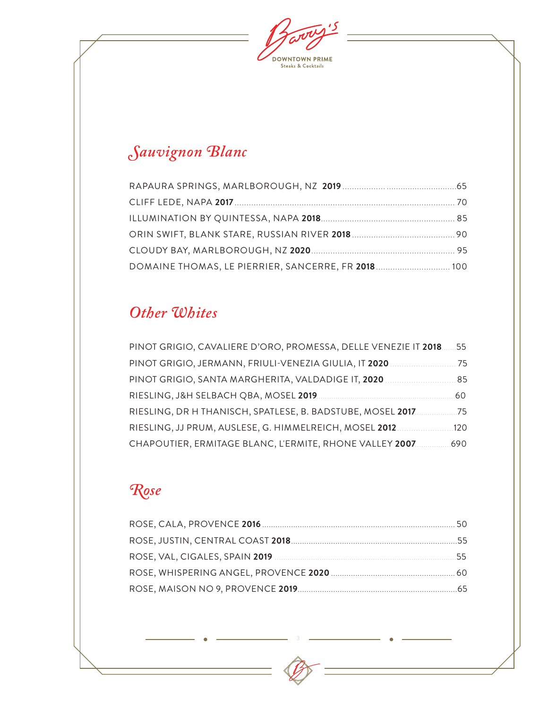$\overline{\mathcal{S}}$ **DOWNTOWN PRIME**<br>Steaks & Cocktails

# *Sauvignon Blanc*

| DOMAINE THOMAS, LE PIERRIER, SANCERRE, FR 2018 100 |  |
|----------------------------------------------------|--|

### *Other Whites*

| PINOT GRIGIO, CAVALIERE D'ORO, PROMESSA, DELLE VENEZIE IT 2018. | 55  |
|-----------------------------------------------------------------|-----|
| PINOT GRIGIO, JERMANN, FRIULI-VENEZIA GIULIA, IT 2020.          | 75  |
| PINOT GRIGIO, SANTA MARGHERITA, VALDADIGE IT, 2020              | 85  |
| RIESLING, J&H SELBACH QBA, MOSEL 2019                           | 60  |
| RIESLING, DR H THANISCH, SPATLESE, B. BADSTUBE, MOSEL 2017.     | 75  |
| RIESLING, JJ PRUM, AUSLESE, G. HIMMELREICH, MOSEL 2012.         | 120 |
| CHAPOUTIER, ERMITAGE BLANC, L'ERMITE, RHONE VALLEY 2007.        | 690 |

# *Rose*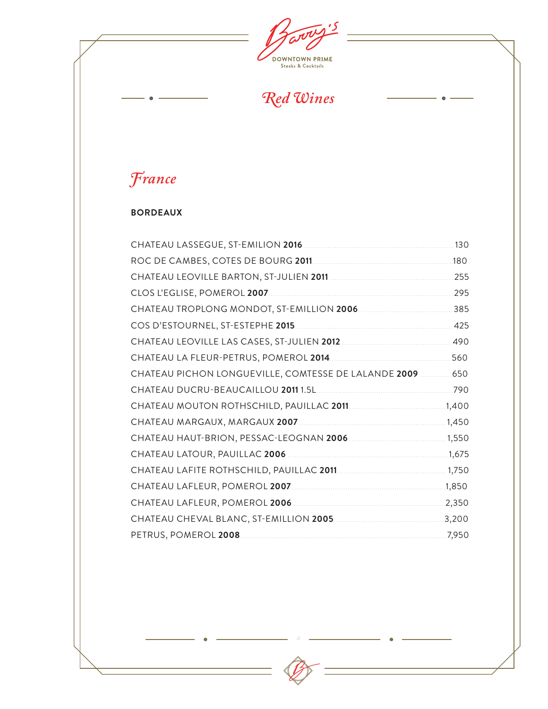$\mathbf{5}$ **DOWNTOWN PRIME**<br>Steaks & Cocktails

*Red Wines*

 $\bullet$ 

# *France*

 $\bullet$ 

#### **BORDEAUX**

|                                                                   | .130 |
|-------------------------------------------------------------------|------|
|                                                                   | .180 |
|                                                                   | 255  |
|                                                                   | 295  |
|                                                                   | 385  |
|                                                                   | 425  |
|                                                                   |      |
|                                                                   |      |
| CHATEAU PICHON LONGUEVILLE, COMTESSE DE LALANDE 2009  650         |      |
|                                                                   |      |
|                                                                   |      |
|                                                                   |      |
| CHATEAU HAUT-BRION, PESSAC-LEOGNAN 2006 [11] [11] 12006 [11] 1550 |      |
|                                                                   |      |
|                                                                   |      |
|                                                                   |      |
|                                                                   |      |
|                                                                   |      |
|                                                                   |      |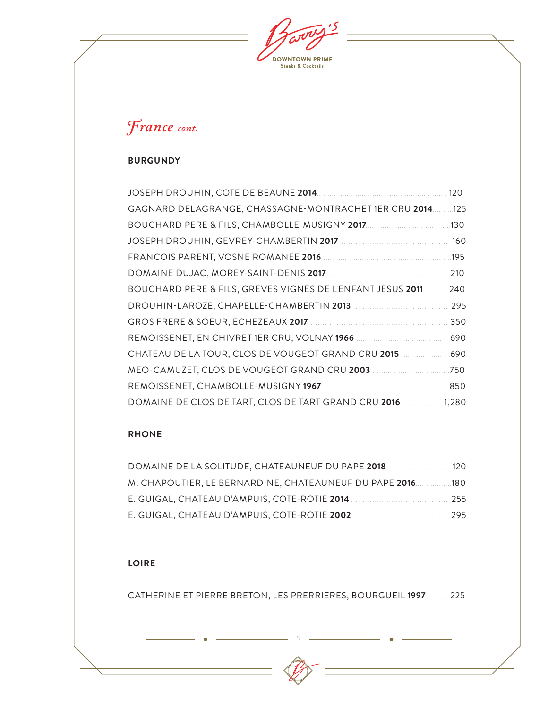**DOWNTOWN PRIME**<br>Steaks & Cocktails

## *France cont.*

#### **BURGUNDY**

| JOSEPH DROUHIN, COTE DE BEAUNE 2014.                       | 120   |
|------------------------------------------------------------|-------|
| GAGNARD DELAGRANGE, CHASSAGNE-MONTRACHET 1ER CRU 2014.     | .125  |
|                                                            | .130  |
|                                                            | 160   |
|                                                            | 195   |
|                                                            | 210   |
| BOUCHARD PERE & FILS, GREVES VIGNES DE L'ENFANT JESUS 2011 | 240   |
| DROUHIN-LAROZE, CHAPELLE-CHAMBERTIN 2013                   | 295   |
|                                                            | 350   |
|                                                            | 690   |
| CHATEAU DE LA TOUR, CLOS DE VOUGEOT GRAND CRU 2015         | 690   |
| MEO-CAMUZET, CLOS DE VOUGEOT GRAND CRU 2003                | .750  |
|                                                            | 850   |
| DOMAINE DE CLOS DE TART, CLOS DE TART GRAND CRU 2016       | 1,280 |

#### **RHONE**

| DOMAINE DE LA SOLITUDE. CHATEAUNEUF DU PAPE <b>2018</b>   | 120 |
|-----------------------------------------------------------|-----|
| M. CHAPOUTIER, LE BERNARDINE, CHATEAUNEUF DU PAPE 2016180 |     |
| E. GUIGAL, CHATEAU D'AMPUIS, COTE-ROTIE 2014              | 255 |
| E. GUIGAL, CHATEAU D'AMPUIS, COTE-ROTIE 2002              | 295 |

#### **LOIRE**

CATHERINE ET PIERRE BRETON, LES PRERRIERES, BOURGUEIL **1997**............225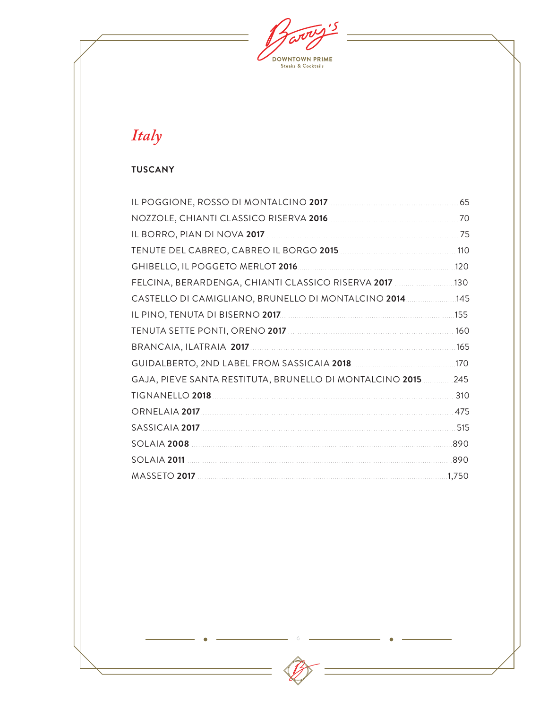$\overline{\mathcal{S}}$ **DOWNTOWN PRIME**<br>Steaks & Cocktails

# Italy

#### **TUSCANY**

|                                                              | 65   |
|--------------------------------------------------------------|------|
|                                                              | -70  |
|                                                              |      |
|                                                              |      |
|                                                              | .120 |
| FELCINA, BERARDENGA, CHIANTI CLASSICO RISERVA 2017  130      |      |
| CASTELLO DI CAMIGLIANO, BRUNELLO DI MONTALCINO 2014145       |      |
|                                                              |      |
|                                                              |      |
|                                                              |      |
|                                                              |      |
| GAJA, PIEVE SANTA RESTITUTA, BRUNELLO DI MONTALCINO 2015 245 |      |
|                                                              |      |
|                                                              |      |
|                                                              |      |
|                                                              |      |
| 890<br>SOLAIA 2011 <b>SOLAIA 2011</b>                        |      |
|                                                              |      |

 $\epsilon$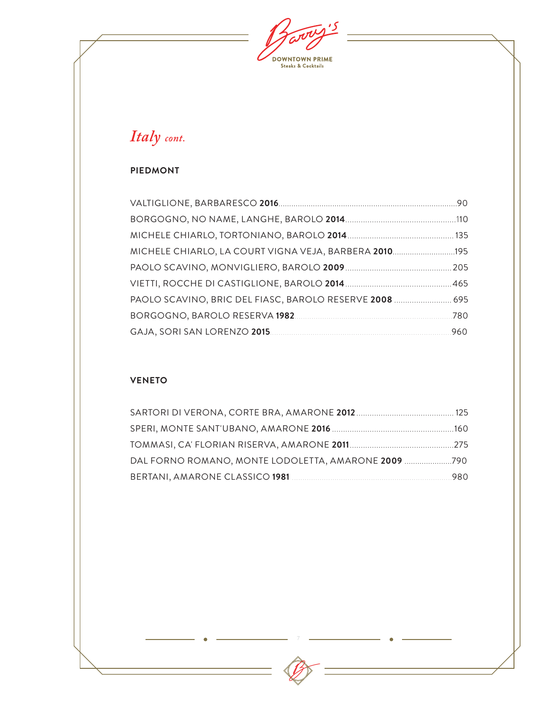$\overline{\mathcal{S}}$ **DOWNTOWN PRIME**<br>Steaks & Cocktails

### *Italy cont.*

#### **PIEDMONT**

| MICHELE CHIARLO, LA COURT VIGNA VEJA, BARBERA 2010195   |      |
|---------------------------------------------------------|------|
|                                                         |      |
|                                                         |      |
| PAOLO SCAVINO, BRIC DEL FIASC, BAROLO RESERVE 2008  695 |      |
|                                                         | .780 |
|                                                         |      |

#### **VENETO**

| DAL FORNO ROMANO, MONTE LODOLETTA, AMARONE 2009 790 |      |
|-----------------------------------------------------|------|
|                                                     | -980 |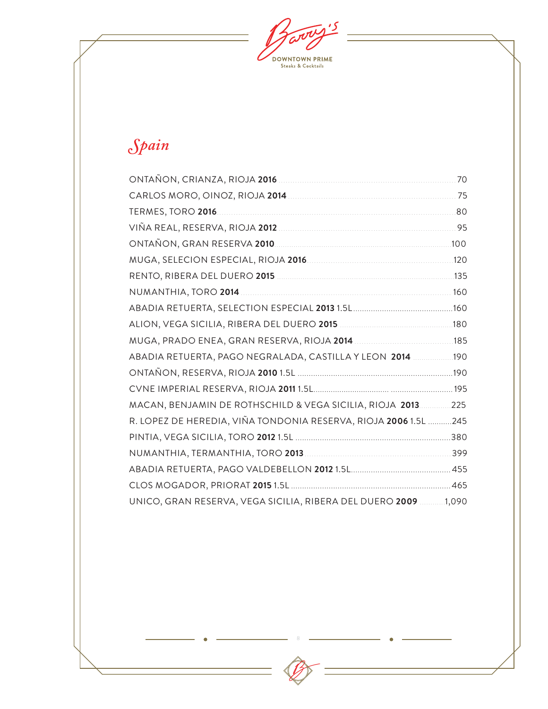$\overline{\mathcal{S}}$ **DOWNTOWN PRIME**<br>Steaks & Cocktails

# *Spain*

|                                                                 | .70  |
|-----------------------------------------------------------------|------|
|                                                                 |      |
|                                                                 | .80  |
|                                                                 |      |
|                                                                 | .100 |
|                                                                 |      |
|                                                                 |      |
|                                                                 |      |
|                                                                 |      |
|                                                                 |      |
|                                                                 |      |
| ABADIA RETUERTA, PAGO NEGRALADA, CASTILLA Y LEON 2014  190      |      |
|                                                                 |      |
|                                                                 |      |
| MACAN, BENJAMIN DE ROTHSCHILD & VEGA SICILIA, RIOJA 2013        | .225 |
| R. LOPEZ DE HEREDIA, VIÑA TONDONIA RESERVA, RIOJA 2006 1.5L 245 |      |
|                                                                 |      |
|                                                                 |      |
|                                                                 |      |
|                                                                 |      |
| UNICO, GRAN RESERVA, VEGA SICILIA, RIBERA DEL DUERO 2009 1,090  |      |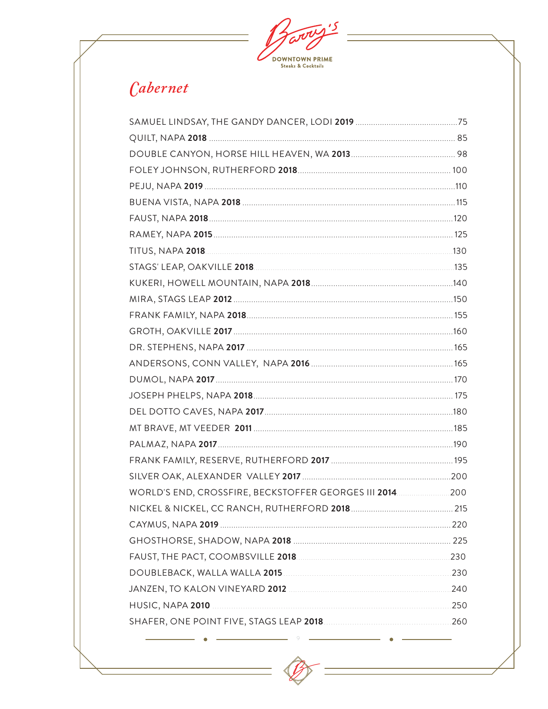

## Cabernet

| WORLD'S END, CROSSFIRE, BECKSTOFFER GEORGES III 2014. 2014. 200 |  |
|-----------------------------------------------------------------|--|
|                                                                 |  |
|                                                                 |  |
|                                                                 |  |
|                                                                 |  |
|                                                                 |  |
|                                                                 |  |
|                                                                 |  |
|                                                                 |  |

 $\circ$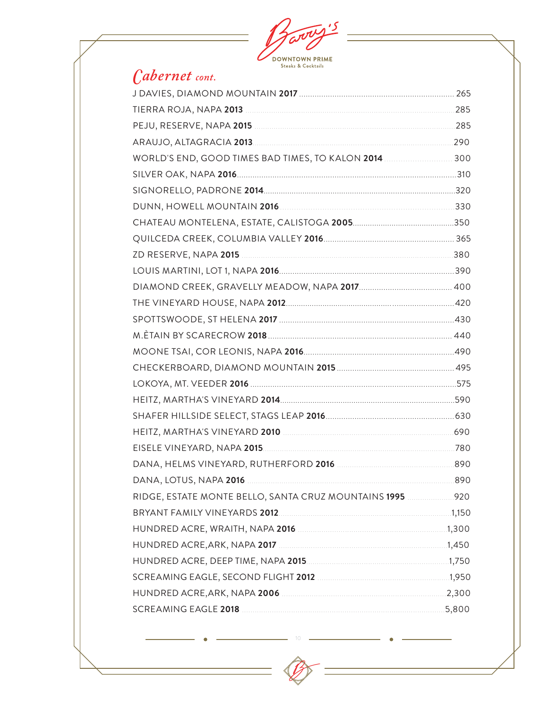

### Cabernet cont.

| RIDGE, ESTATE MONTE BELLO, SANTA CRUZ MOUNTAINS 1995 920                                                       |  |
|----------------------------------------------------------------------------------------------------------------|--|
|                                                                                                                |  |
|                                                                                                                |  |
|                                                                                                                |  |
|                                                                                                                |  |
|                                                                                                                |  |
|                                                                                                                |  |
| SCREAMING EAGLE 2018 2018 2018 2018 2018 2018 2019 2021 2021 2030 2040 2051 2050 2060 2071 2080 2091 2010 2010 |  |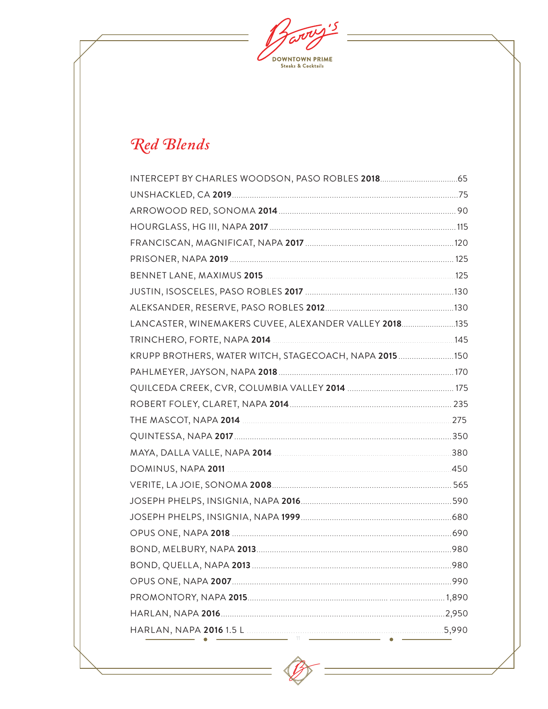$\mathbf{5}$ **DOWNTOWN PRIME**<br>Steaks & Cocktails

# Red Blends

| INTERCEPT BY CHARLES WOODSON, PASO ROBLES 2018 65     |  |
|-------------------------------------------------------|--|
|                                                       |  |
|                                                       |  |
|                                                       |  |
|                                                       |  |
|                                                       |  |
|                                                       |  |
|                                                       |  |
|                                                       |  |
| LANCASTER, WINEMAKERS CUVEE, ALEXANDER VALLEY 2018135 |  |
|                                                       |  |
| KRUPP BROTHERS, WATER WITCH, STAGECOACH, NAPA 2015150 |  |
|                                                       |  |
|                                                       |  |
|                                                       |  |
| THE MASCOT, NAPA 2014 2014 2014 2014 2014 275         |  |
|                                                       |  |
|                                                       |  |
|                                                       |  |
|                                                       |  |
|                                                       |  |
|                                                       |  |
|                                                       |  |
|                                                       |  |
|                                                       |  |
|                                                       |  |
|                                                       |  |
|                                                       |  |
|                                                       |  |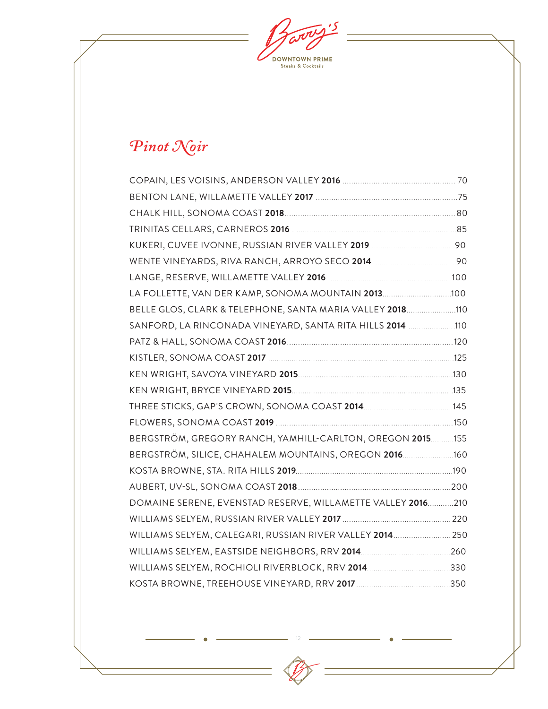$\mathbf{5}$ **DOWNTOWN PRIME**<br>Steaks & Cocktails

# *Pinot Noir*

| TRINITAS CELLARS, CARNEROS 2016 [100] [2010] [2010] [2010] [2010] [2010] [2010] [2010] [2010] [2010] [2010] [20 |  |
|-----------------------------------------------------------------------------------------------------------------|--|
|                                                                                                                 |  |
|                                                                                                                 |  |
|                                                                                                                 |  |
|                                                                                                                 |  |
| BELLE GLOS, CLARK & TELEPHONE, SANTA MARIA VALLEY 2018110                                                       |  |
| SANFORD, LA RINCONADA VINEYARD, SANTA RITA HILLS 2014 110                                                       |  |
|                                                                                                                 |  |
|                                                                                                                 |  |
|                                                                                                                 |  |
|                                                                                                                 |  |
|                                                                                                                 |  |
|                                                                                                                 |  |
| BERGSTRÖM, GREGORY RANCH, YAMHILL-CARLTON, OREGON 2015155                                                       |  |
| BERGSTRÖM, SILICE, CHAHALEM MOUNTAINS, OREGON 2016 160                                                          |  |
|                                                                                                                 |  |
|                                                                                                                 |  |
| DOMAINE SERENE, EVENSTAD RESERVE, WILLAMETTE VALLEY 2016210                                                     |  |
|                                                                                                                 |  |
| WILLIAMS SELYEM, CALEGARI, RUSSIAN RIVER VALLEY 2014 250                                                        |  |
|                                                                                                                 |  |
| WILLIAMS SELYEM, ROCHIOLI RIVERBLOCK, RRV 2014330                                                               |  |
|                                                                                                                 |  |
|                                                                                                                 |  |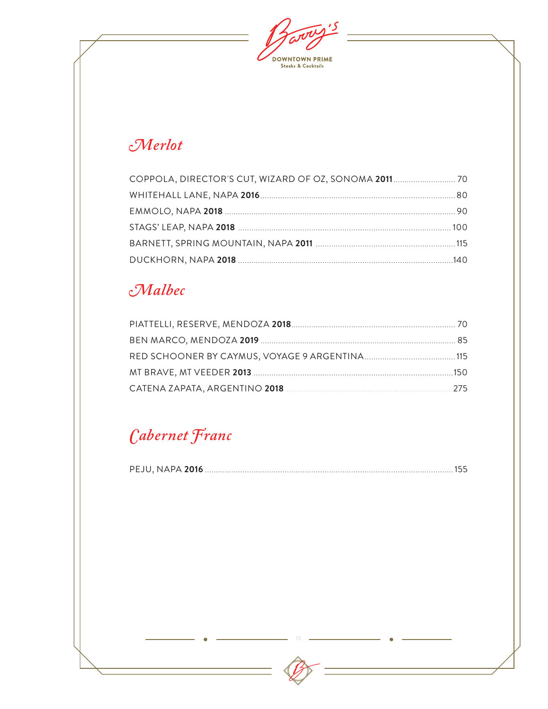$\overline{\mathcal{S}}$ **DOWNTOWN PRIME**<br>Steaks & Cocktails

### $\mathcal{M}$ erlot

### Malbec

# Cabernet Franc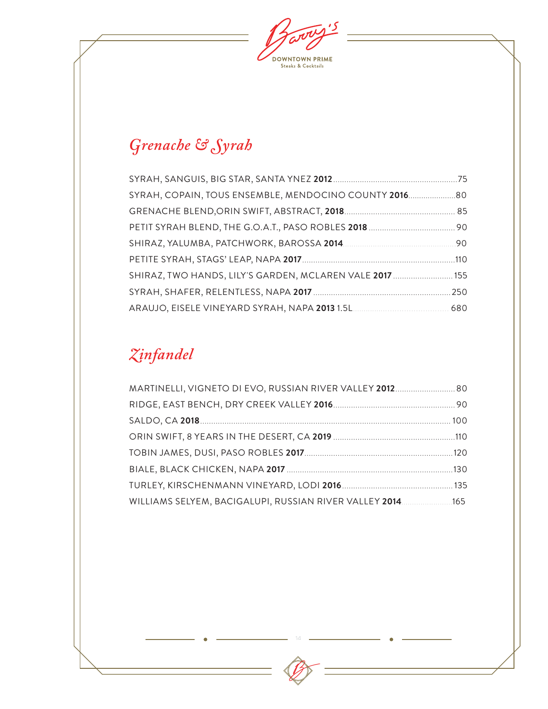ی، **DOWNTOWN PRIME**<br>Steaks & Cocktails

# *Grenache & Syrah*

| SYRAH, COPAIN, TOUS ENSEMBLE, MENDOCINO COUNTY 2016      |  |
|----------------------------------------------------------|--|
|                                                          |  |
|                                                          |  |
|                                                          |  |
|                                                          |  |
| SHIRAZ, TWO HANDS, LILY'S GARDEN, MCLAREN VALE 2017  155 |  |
|                                                          |  |
|                                                          |  |

# *Zinfandel*

| MARTINELLI, VIGNETO DI EVO, RUSSIAN RIVER VALLEY 2012 80   |  |
|------------------------------------------------------------|--|
|                                                            |  |
|                                                            |  |
|                                                            |  |
|                                                            |  |
|                                                            |  |
|                                                            |  |
| WILLIAMS SELYEM, BACIGALUPI, RUSSIAN RIVER VALLEY 2014 165 |  |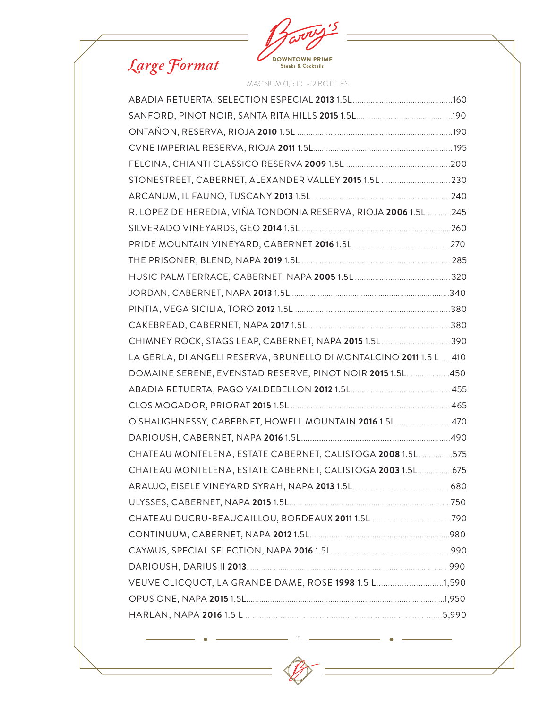



MAGNUM (1,5 L) - 2 BOTTLES

| STONESTREET, CABERNET, ALEXANDER VALLEY 2015 1.5L  230              |  |
|---------------------------------------------------------------------|--|
|                                                                     |  |
| R. LOPEZ DE HEREDIA, VIÑA TONDONIA RESERVA, RIOJA 2006 1.5L 245     |  |
|                                                                     |  |
|                                                                     |  |
|                                                                     |  |
|                                                                     |  |
|                                                                     |  |
|                                                                     |  |
|                                                                     |  |
| CHIMNEY ROCK, STAGS LEAP, CABERNET, NAPA 2015 1.5L 390              |  |
| LA GERLA, DI ANGELI RESERVA, BRUNELLO DI MONTALCINO 2011 1.5 L  410 |  |
| DOMAINE SERENE, EVENSTAD RESERVE, PINOT NOIR 2015 1.5L450           |  |
|                                                                     |  |
|                                                                     |  |
| O'SHAUGHNESSY, CABERNET, HOWELL MOUNTAIN 2016 1.5L  470             |  |
|                                                                     |  |
| CHATEAU MONTELENA, ESTATE CABERNET, CALISTOGA 2008 1.5L575          |  |
| CHATEAU MONTELENA, ESTATE CABERNET, CALISTOGA 2003 1.5L 675         |  |
|                                                                     |  |
|                                                                     |  |
|                                                                     |  |
|                                                                     |  |
|                                                                     |  |
|                                                                     |  |
| VEUVE CLICQUOT, LA GRANDE DAME, ROSE 1998 1.5 L1,590                |  |
|                                                                     |  |
|                                                                     |  |